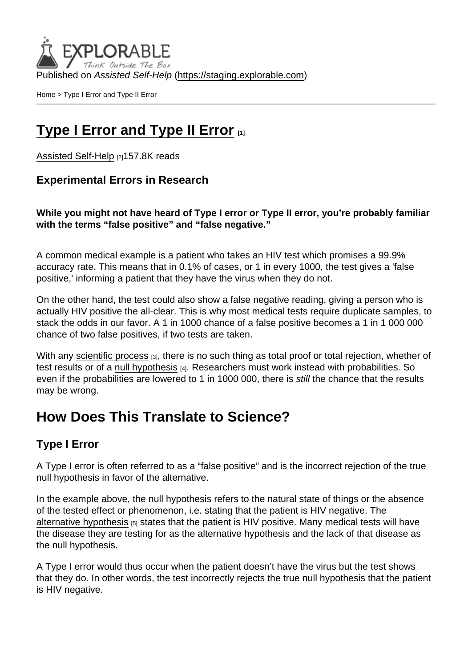Published on Assisted Self-Help [\(https://staging.explorable.com](https://staging.explorable.com))

[Home](https://staging.explorable.com/en) > Type I Error and Type II Error

## [Type I Error and Type II Error](https://staging.explorable.com/en/type-i-error)  $_{[1]}$

[Assisted Self-Help](https://staging.explorable.com/en) [2]157.8K reads

Experimental Errors in Research

While you might not have heard of Type I error or Type II error, you're probably familiar with the terms "false positive" and "false negative."

A common medical example is a patient who takes an HIV test which promises a 99.9% accuracy rate. This means that in 0.1% of cases, or 1 in every 1000, the test gives a 'false positive,' informing a patient that they have the virus when they do not.

On the other hand, the test could also show a false negative reading, giving a person who is actually HIV positive the all-clear. This is why most medical tests require duplicate samples, to stack the odds in our favor. A 1 in 1000 chance of a false positive becomes a 1 in 1 000 000 chance of two false positives, if two tests are taken.

With any [scientific process](https://explorable.com/steps-of-the-scientific-method) [3], there is no such thing as total proof or total rejection, whether of test results or of a [null hypothesis](https://explorable.com/null-hypothesis) [4]. Researchers must work instead with probabilities. So even if the probabilities are lowered to 1 in 1000 000, there is still the chance that the results may be wrong.

# How Does This Translate to Science?

#### Type I Error

A Type I error is often referred to as a "false positive" and is the incorrect rejection of the true null hypothesis in favor of the alternative.

In the example above, the null hypothesis refers to the natural state of things or the absence of the tested effect or phenomenon, i.e. stating that the patient is HIV negative. The [alternative hypothesis](https://explorable.com/research-hypothesis)  $[5]$  states that the patient is HIV positive. Many medical tests will have the disease they are testing for as the alternative hypothesis and the lack of that disease as the null hypothesis.

A Type I error would thus occur when the patient doesn't have the virus but the test shows that they do. In other words, the test incorrectly rejects the true null hypothesis that the patient is HIV negative.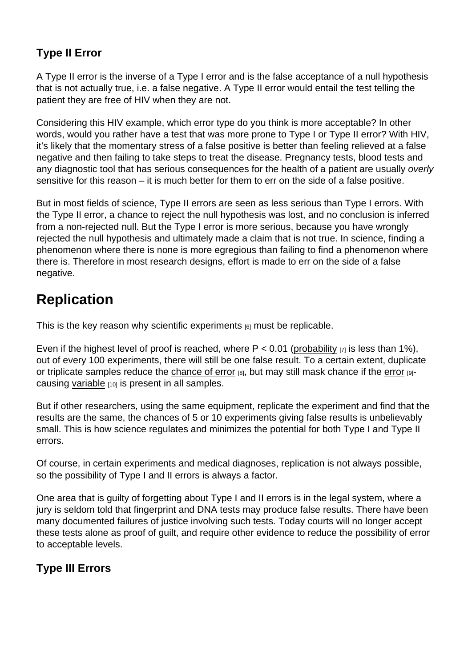#### Type II Error

A Type II error is the inverse of a Type I error and is the false acceptance of a null hypothesis that is not actually true, i.e. a false negative. A Type II error would entail the test telling the patient they are free of HIV when they are not.

Considering this HIV example, which error type do you think is more acceptable? In other words, would you rather have a test that was more prone to Type I or Type II error? With HIV, it's likely that the momentary stress of a false positive is better than feeling relieved at a false negative and then failing to take steps to treat the disease. Pregnancy tests, blood tests and any diagnostic tool that has serious consequences for the health of a patient are usually overly sensitive for this reason – it is much better for them to err on the side of a false positive.

But in most fields of science, Type II errors are seen as less serious than Type I errors. With the Type II error, a chance to reject the null hypothesis was lost, and no conclusion is inferred from a non-rejected null. But the Type I error is more serious, because you have wrongly rejected the null hypothesis and ultimately made a claim that is not true. In science, finding a phenomenon where there is none is more egregious than failing to find a phenomenon where there is. Therefore in most research designs, effort is made to err on the side of a false negative.

## **Replication**

This is the key reason why [scientific experiments](https://explorable.com/conducting-an-experiment)  $[6]$  must be replicable.

Even if the highest level of proof is reached, where  $P < 0.01$  ([probability](https://explorable.com/experimental-probability)  $\overline{q}$  is less than 1%), out of every 100 experiments, there will still be one false result. To a certain extent, duplicate or triplicate samples reduce the [chance of error](https://explorable.com/random-sampling-error)  $_{[8]}$ , but may still mask chance if the [error](https://explorable.com/experimental-error)  $_{[9]}$ causing [variable](https://explorable.com/research-variables) [10] is present in all samples.

But if other researchers, using the same equipment, replicate the experiment and find that the results are the same, the chances of 5 or 10 experiments giving false results is unbelievably small. This is how science regulates and minimizes the potential for both Type I and Type II errors.

Of course, in certain experiments and medical diagnoses, replication is not always possible, so the possibility of Type I and II errors is always a factor.

One area that is guilty of forgetting about Type I and II errors is in the legal system, where a jury is seldom told that fingerprint and DNA tests may produce false results. There have been many documented failures of justice involving such tests. Today courts will no longer accept these tests alone as proof of guilt, and require other evidence to reduce the possibility of error to acceptable levels.

Type III Errors